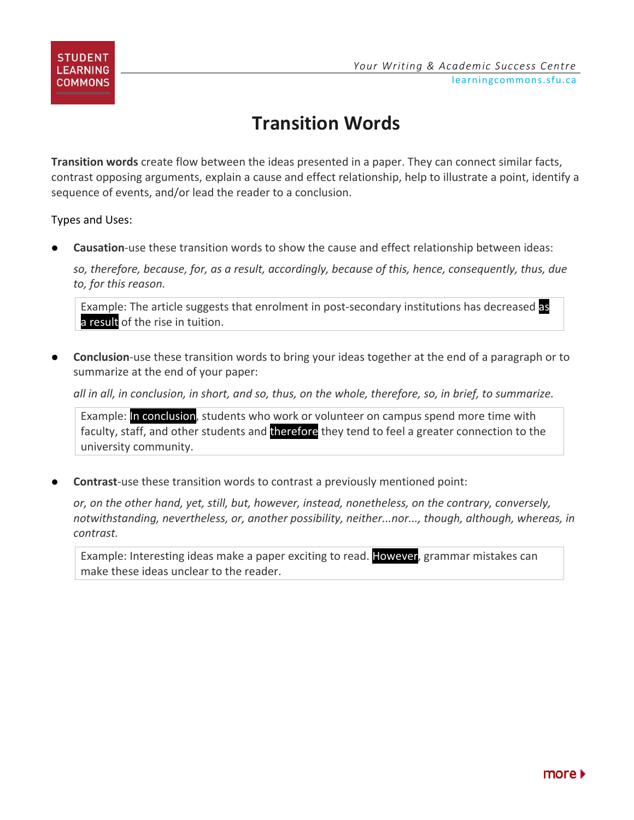

## **Transition Words**

**Transition words** create flow between the ideas presented in a paper. They can connect similar facts, contrast opposing arguments, explain a cause and effect relationship, help to illustrate a point, identify a sequence of events, and/or lead the reader to a conclusion.

Types and Uses:

**Causation**-use these transition words to show the cause and effect relationship between ideas:

*so, therefore, because, for, as a result, accordingly, because of this, hence, consequently, thus, due to, for this reason.*

Example: The article suggests that enrolment in post-secondary institutions has decreased as a result of the rise in tuition.

 **Conclusion**-use these transition words to bring your ideas together at the end of a paragraph or to summarize at the end of your paper:

*all in all, in conclusion, in short, and so, thus, on the whole, therefore, so, in brief, to summarize.*

Example: In conclusion, students who work or volunteer on campus spend more time with faculty, staff, and other students and therefore they tend to feel a greater connection to the university community.

**Contrast**-use these transition words to contrast a previously mentioned point:

*or, on the other hand, yet, still, but, however, instead, nonetheless, on the contrary, conversely, notwithstanding, nevertheless, or, another possibility, neither...nor..., though, although, whereas, in contrast.*

Example: Interesting ideas make a paper exciting to read. However, grammar mistakes can make these ideas unclear to the reader.